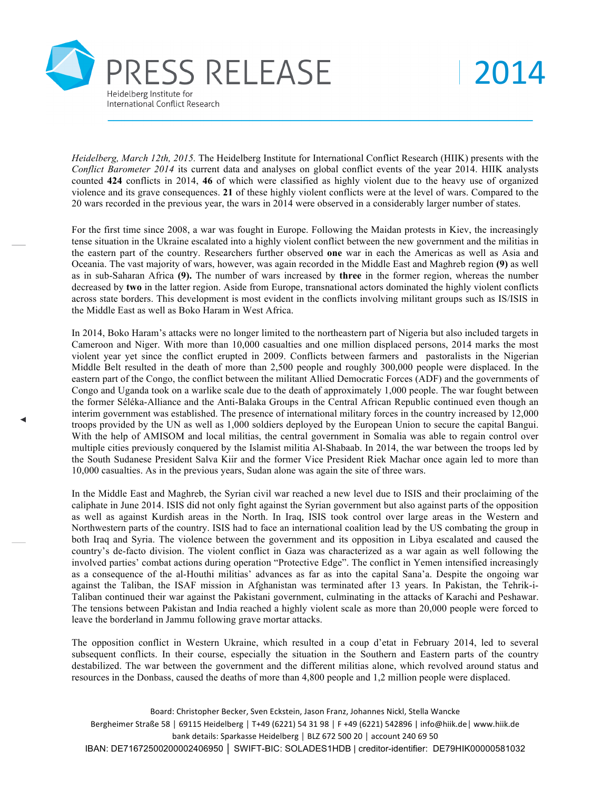

2014

*Heidelberg, March 12th, 2015.* The Heidelberg Institute for International Conflict Research (HIIK) presents with the *Conflict Barometer 2014* its current data and analyses on global conflict events of the year 2014. HIIK analysts counted **424** conflicts in 2014, **46** of which were classified as highly violent due to the heavy use of organized violence and its grave consequences. **21** of these highly violent conflicts were at the level of wars. Compared to the 20 wars recorded in the previous year, the wars in 2014 were observed in a considerably larger number of states.

For the first time since 2008, a war was fought in Europe. Following the Maidan protests in Kiev, the increasingly tense situation in the Ukraine escalated into a highly violent conflict between the new government and the militias in the eastern part of the country. Researchers further observed **one** war in each the Americas as well as Asia and Oceania. The vast majority of wars, however, was again recorded in the Middle East and Maghreb region **(9)** as well as in sub-Saharan Africa **(9).** The number of wars increased by **three** in the former region, whereas the number decreased by **two** in the latter region. Aside from Europe, transnational actors dominated the highly violent conflicts across state borders. This development is most evident in the conflicts involving militant groups such as IS/ISIS in the Middle East as well as Boko Haram in West Africa.

In 2014, Boko Haram's attacks were no longer limited to the northeastern part of Nigeria but also included targets in Cameroon and Niger. With more than 10,000 casualties and one million displaced persons, 2014 marks the most violent year yet since the conflict erupted in 2009. Conflicts between farmers and pastoralists in the Nigerian Middle Belt resulted in the death of more than 2,500 people and roughly 300,000 people were displaced. In the eastern part of the Congo, the conflict between the militant Allied Democratic Forces (ADF) and the governments of Congo and Uganda took on a warlike scale due to the death of approximately 1,000 people. The war fought between the former Séléka-Alliance and the Anti-Balaka Groups in the Central African Republic continued even though an interim government was established. The presence of international military forces in the country increased by 12,000 troops provided by the UN as well as 1,000 soldiers deployed by the European Union to secure the capital Bangui. With the help of AMISOM and local militias, the central government in Somalia was able to regain control over multiple cities previously conquered by the Islamist militia Al-Shabaab. In 2014, the war between the troops led by the South Sudanese President Salva Kiir and the former Vice President Riek Machar once again led to more than 10,000 casualties. As in the previous years, Sudan alone was again the site of three wars.

In the Middle East and Maghreb, the Syrian civil war reached a new level due to ISIS and their proclaiming of the caliphate in June 2014. ISIS did not only fight against the Syrian government but also against parts of the opposition as well as against Kurdish areas in the North. In Iraq, ISIS took control over large areas in the Western and Northwestern parts of the country. ISIS had to face an international coalition lead by the US combating the group in both Iraq and Syria. The violence between the government and its opposition in Libya escalated and caused the country's de-facto division. The violent conflict in Gaza was characterized as a war again as well following the involved parties' combat actions during operation "Protective Edge". The conflict in Yemen intensified increasingly as a consequence of the al-Houthi militias' advances as far as into the capital Sana'a. Despite the ongoing war against the Taliban, the ISAF mission in Afghanistan was terminated after 13 years. In Pakistan, the Tehrik-i-Taliban continued their war against the Pakistani government, culminating in the attacks of Karachi and Peshawar. The tensions between Pakistan and India reached a highly violent scale as more than 20,000 people were forced to leave the borderland in Jammu following grave mortar attacks.

The opposition conflict in Western Ukraine, which resulted in a coup d'etat in February 2014, led to several subsequent conflicts. In their course, especially the situation in the Southern and Eastern parts of the country destabilized. The war between the government and the different militias alone, which revolved around status and resources in the Donbass, caused the deaths of more than 4,800 people and 1,2 million people were displaced.

Board: Christopher Becker, Sven Eckstein, Jason Franz, Johannes Nickl, Stella Wancke Bergheimer Straße 58 | 69115 Heidelberg | T+49 (6221) 54 31 98 | F +49 (6221) 542896 | info@hiik.de| www.hiik.de bank details: Sparkasse Heidelberg | BLZ 672 500 20 | account 240 69 50 IBAN: DE71672500200002406950 │ SWIFT-BIC: SOLADES1HDB | creditor-identifier: DE79HIK00000581032